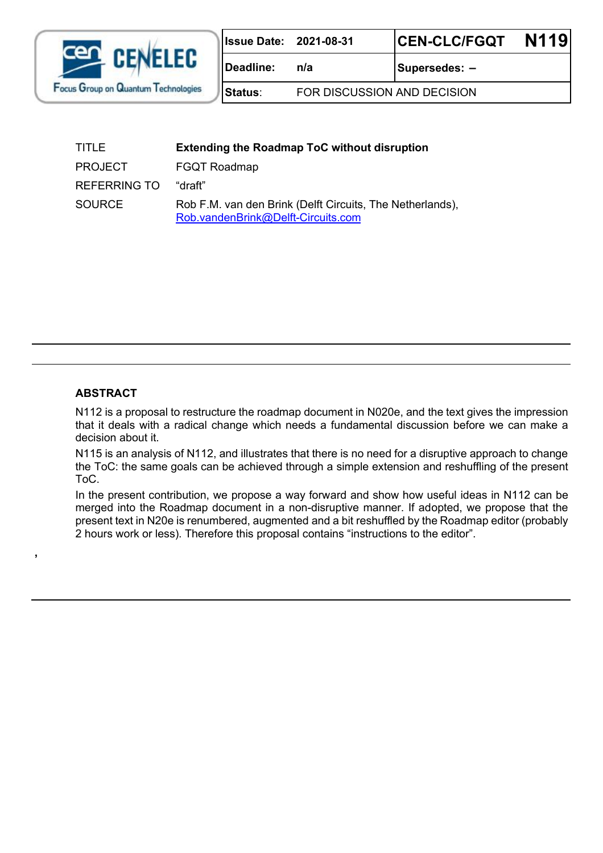

| <b>Issue Date:</b> | 2021-08-31 |
|--------------------|------------|
|--------------------|------------|

**Status**: FOR DISCUSSION AND DECISION

Deadline:  $n/a$  | Supersedes: –

| TITLE               | <b>Extending the Roadmap ToC without disruption</b>                                             |
|---------------------|-------------------------------------------------------------------------------------------------|
| <b>PROJECT</b>      | <b>FGQT Roadmap</b>                                                                             |
| <b>REFERRING TO</b> | "draft"                                                                                         |
| SOURCE              | Rob F.M. van den Brink (Delft Circuits, The Netherlands),<br>Rob.vandenBrink@Delft-Circuits.com |

#### **ABSTRACT**

**,** 

N112 is a proposal to restructure the roadmap document in N020e, and the text gives the impression that it deals with a radical change which needs a fundamental discussion before we can make a decision about it.

N115 is an analysis of N112, and illustrates that there is no need for a disruptive approach to change the ToC: the same goals can be achieved through a simple extension and reshuffling of the present ToC.

In the present contribution, we propose a way forward and show how useful ideas in N112 can be merged into the Roadmap document in a non-disruptive manner. If adopted, we propose that the present text in N20e is renumbered, augmented and a bit reshuffled by the Roadmap editor (probably 2 hours work or less). Therefore this proposal contains "instructions to the editor".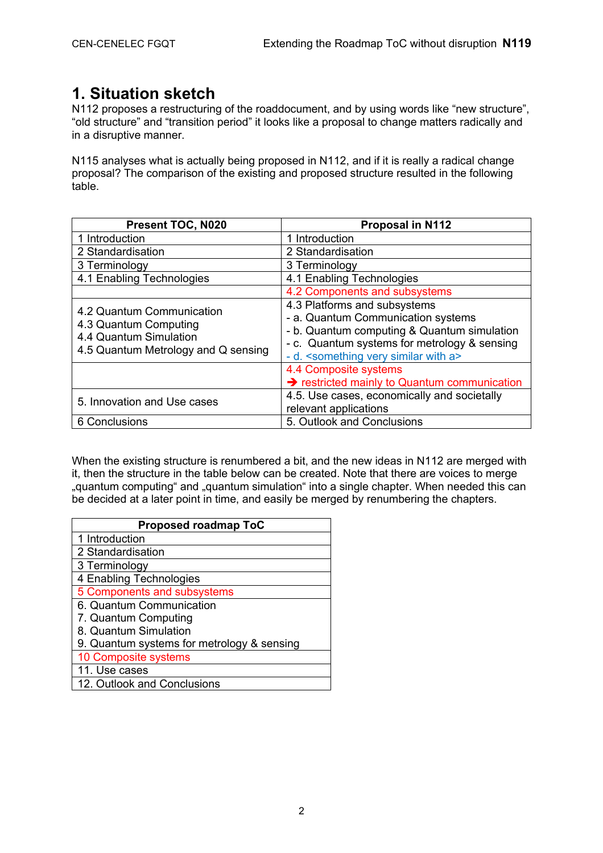### **1. Situation sketch**

N112 proposes a restructuring of the roaddocument, and by using words like "new structure", "old structure" and "transition period" it looks like a proposal to change matters radically and in a disruptive manner.

N115 analyses what is actually being proposed in N112, and if it is really a radical change proposal? The comparison of the existing and proposed structure resulted in the following table.

| Present TOC, N020                                                                                                   | <b>Proposal in N112</b>                                                                                                                                                                                                                                     |
|---------------------------------------------------------------------------------------------------------------------|-------------------------------------------------------------------------------------------------------------------------------------------------------------------------------------------------------------------------------------------------------------|
| 1 Introduction                                                                                                      | 1 Introduction                                                                                                                                                                                                                                              |
| 2 Standardisation                                                                                                   | 2 Standardisation                                                                                                                                                                                                                                           |
| 3 Terminology                                                                                                       | 3 Terminology                                                                                                                                                                                                                                               |
| 4.1 Enabling Technologies                                                                                           | 4.1 Enabling Technologies                                                                                                                                                                                                                                   |
|                                                                                                                     | 4.2 Components and subsystems                                                                                                                                                                                                                               |
| 4.2 Quantum Communication<br>4.3 Quantum Computing<br>4.4 Quantum Simulation<br>4.5 Quantum Metrology and Q sensing | 4.3 Platforms and subsystems<br>- a. Quantum Communication systems<br>- b. Quantum computing & Quantum simulation<br>- c. Quantum systems for metrology & sensing<br>- d. <something a="" similar="" very="" with=""><br/>4.4 Composite systems</something> |
|                                                                                                                     | Since the Section of Prestricted mainly to Quantum communication                                                                                                                                                                                            |
| 5. Innovation and Use cases                                                                                         | 4.5. Use cases, economically and societally<br>relevant applications                                                                                                                                                                                        |
| 6 Conclusions                                                                                                       | 5. Outlook and Conclusions                                                                                                                                                                                                                                  |

When the existing structure is renumbered a bit, and the new ideas in N112 are merged with it, then the structure in the table below can be created. Note that there are voices to merge "quantum computing" and "quantum simulation" into a single chapter. When needed this can be decided at a later point in time, and easily be merged by renumbering the chapters.

| <b>Proposed roadmap ToC</b>                |  |
|--------------------------------------------|--|
| 1 Introduction                             |  |
| 2 Standardisation                          |  |
| 3 Terminology                              |  |
| 4 Enabling Technologies                    |  |
| 5 Components and subsystems                |  |
| 6. Quantum Communication                   |  |
| 7. Quantum Computing                       |  |
| 8. Quantum Simulation                      |  |
| 9. Quantum systems for metrology & sensing |  |
| 10 Composite systems                       |  |
| 11. Use cases                              |  |
| 12. Outlook and Conclusions                |  |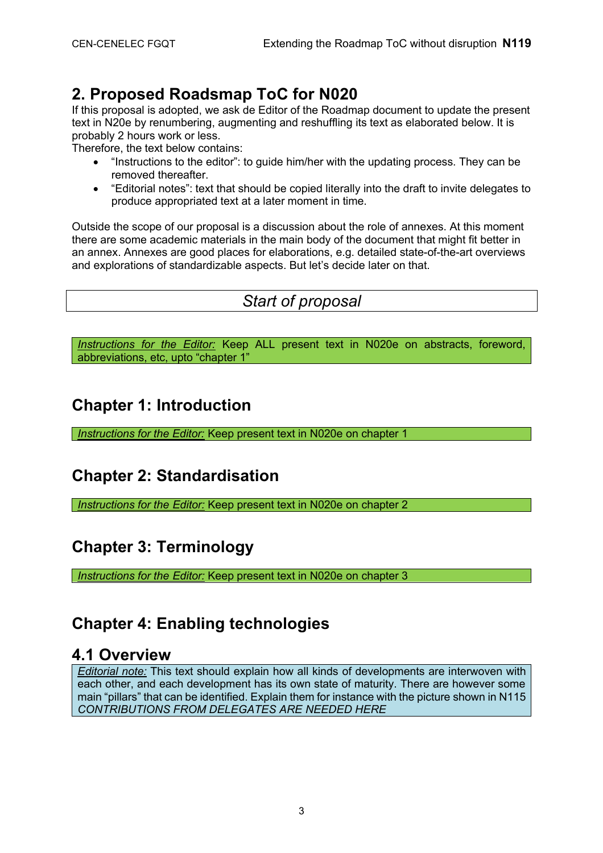### **2. Proposed Roadsmap ToC for N020**

If this proposal is adopted, we ask de Editor of the Roadmap document to update the present text in N20e by renumbering, augmenting and reshuffling its text as elaborated below. It is probably 2 hours work or less.

Therefore, the text below contains:

- · "Instructions to the editor": to guide him/her with the updating process. They can be removed thereafter.
- · "Editorial notes": text that should be copied literally into the draft to invite delegates to produce appropriated text at a later moment in time.

Outside the scope of our proposal is a discussion about the role of annexes. At this moment there are some academic materials in the main body of the document that might fit better in an annex. Annexes are good places for elaborations, e.g. detailed state-of-the-art overviews and explorations of standardizable aspects. But let's decide later on that.

### *Start of proposal*

*Instructions for the Editor:* Keep ALL present text in N020e on abstracts, foreword, abbreviations, etc, upto "chapter 1"

### **Chapter 1: Introduction**

*Instructions for the Editor:* Keep present text in N020e on chapter 1

# **Chapter 2: Standardisation**

*Instructions for the Editor:* Keep present text in N020e on chapter 2

#### **Chapter 3: Terminology**

*Instructions for the Editor:* Keep present text in N020e on chapter 3

### **Chapter 4: Enabling technologies**

#### **4.1 Overview**

*Editorial note:* This text should explain how all kinds of developments are interwoven with each other, and each development has its own state of maturity. There are however some main "pillars" that can be identified. Explain them for instance with the picture shown in N115 *CONTRIBUTIONS FROM DELEGATES ARE NEEDED HERE*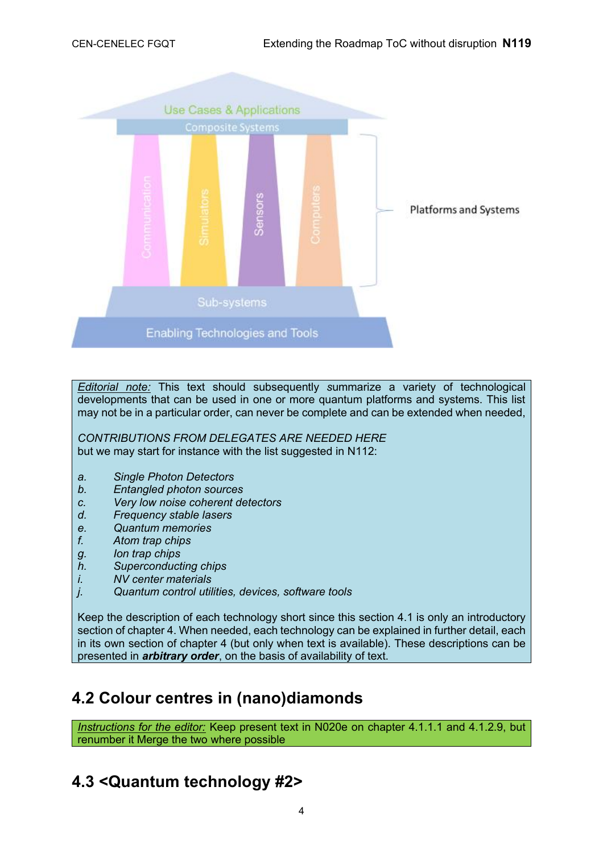

*Editorial note:* This text should subsequently *s*ummarize a variety of technological developments that can be used in one or more quantum platforms and systems. This list may not be in a particular order, can never be complete and can be extended when needed,

*CONTRIBUTIONS FROM DELEGATES ARE NEEDED HERE* but we may start for instance with the list suggested in N112:

- *a. Single Photon Detectors*
- *b. Entangled photon sources*
- *c. Very low noise coherent detectors*
- *d. Frequency stable lasers*
- *e. Quantum memories*
- *f. Atom trap chips*
- *g. Ion trap chips*
- *h. Superconducting chips*
- *i. NV center materials*
- *j. Quantum control utilities, devices, software tools*

Keep the description of each technology short since this section 4.1 is only an introductory section of chapter 4. When needed, each technology can be explained in further detail, each in its own section of chapter 4 (but only when text is available). These descriptions can be presented in *arbitrary order*, on the basis of availability of text.

#### **4.2 Colour centres in (nano)diamonds**

*Instructions for the editor:* Keep present text in N020e on chapter 4.1.1.1 and 4.1.2.9, but renumber it Merge the two where possible

# **4.3 <Quantum technology #2>**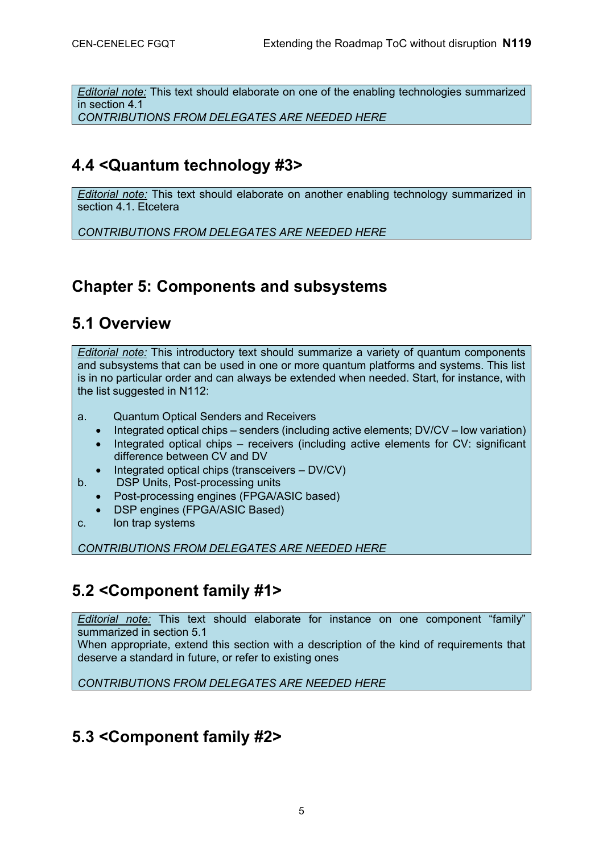*Editorial note:* This text should elaborate on one of the enabling technologies summarized in section 4.1

*CONTRIBUTIONS FROM DELEGATES ARE NEEDED HERE* 

### **4.4 <Quantum technology #3>**

*Editorial note:* This text should elaborate on another enabling technology summarized in section 4.1. Etcetera

*CONTRIBUTIONS FROM DELEGATES ARE NEEDED HERE*

### **Chapter 5: Components and subsystems**

#### **5.1 Overview**

*Editorial note:* This introductory text should summarize a variety of quantum components and subsystems that can be used in one or more quantum platforms and systems. This list is in no particular order and can always be extended when needed. Start, for instance, with the list suggested in N112:

- a. Quantum Optical Senders and Receivers
	- · Integrated optical chips senders (including active elements; DV/CV low variation)
	- Integrated optical chips receivers (including active elements for  $CV$ : significant difference between CV and DV
	- Integrated optical chips (transceivers  $-$  DV/CV)
- b. DSP Units, Post-processing units
	- Post-processing engines (FPGA/ASIC based)
	- DSP engines (FPGA/ASIC Based)
- c. Ion trap systems

*CONTRIBUTIONS FROM DELEGATES ARE NEEDED HERE*

### **5.2 <Component family #1>**

*Editorial note:* This text should elaborate for instance on one component "family" summarized in section 5.1

When appropriate, extend this section with a description of the kind of requirements that deserve a standard in future, or refer to existing ones

*CONTRIBUTIONS FROM DELEGATES ARE NEEDED HERE*

### **5.3 <Component family #2>**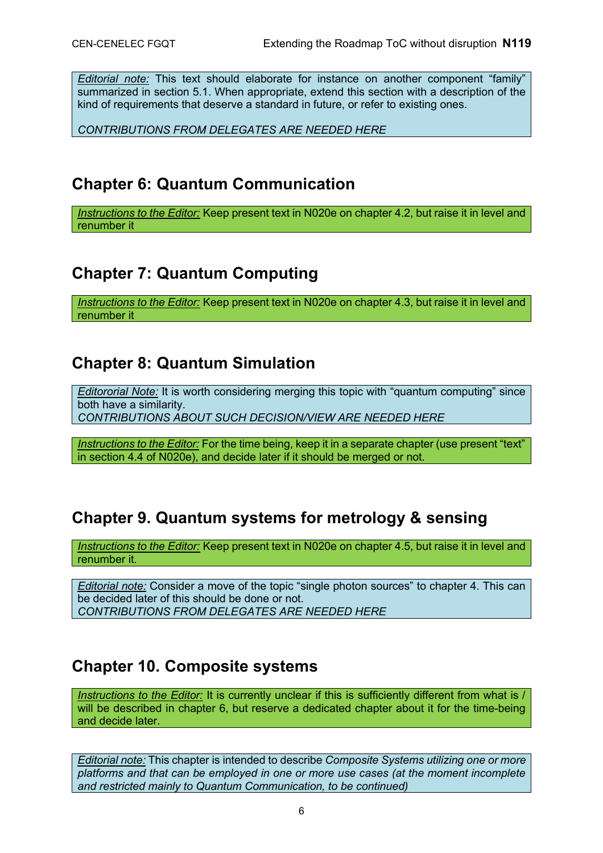*Editorial note:* This text should elaborate for instance on another component "family" summarized in section 5.1. When appropriate, extend this section with a description of the kind of requirements that deserve a standard in future, or refer to existing ones.

*CONTRIBUTIONS FROM DELEGATES ARE NEEDED HERE*

#### **Chapter 6: Quantum Communication**

*Instructions to the Editor:* Keep present text in N020e on chapter 4.2, but raise it in level and renumber it

### **Chapter 7: Quantum Computing**

*Instructions to the Editor:* Keep present text in N020e on chapter 4.3, but raise it in level and renumber it

#### **Chapter 8: Quantum Simulation**

*Editororial Note:* It is worth considering merging this topic with "quantum computing" since both have a similarity. *CONTRIBUTIONS ABOUT SUCH DECISION/VIEW ARE NEEDED HERE*

*Instructions to the Editor:* For the time being, keep it in a separate chapter (use present "text"

in section 4.4 of N020e), and decide later if it should be merged or not.

### **Chapter 9. Quantum systems for metrology & sensing**

*Instructions to the Editor:* Keep present text in N020e on chapter 4.5, but raise it in level and renumber it.

*Editorial note:* Consider a move of the topic "single photon sources" to chapter 4. This can be decided later of this should be done or not. *CONTRIBUTIONS FROM DELEGATES ARE NEEDED HERE* 

#### **Chapter 10. Composite systems**

*Instructions to the Editor:* It is currently unclear if this is sufficiently different from what is / will be described in chapter 6, but reserve a dedicated chapter about it for the time-being and decide later.

*Editorial note:* This chapter is intended to describe *Composite Systems utilizing one or more platforms and that can be employed in one or more use cases (at the moment incomplete and restricted mainly to Quantum Communication, to be continued)*